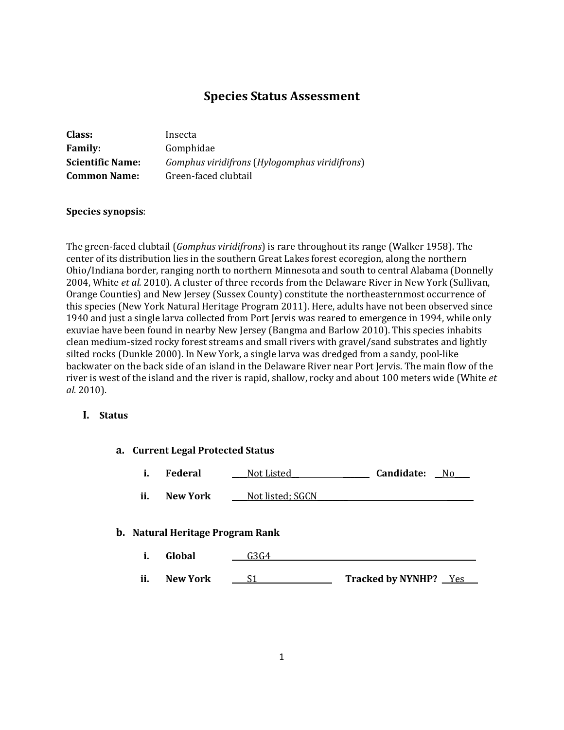# **Species Status Assessment**

| Insecta                                       |
|-----------------------------------------------|
| Gomphidae                                     |
| Gomphus viridifrons (Hylogomphus viridifrons) |
| Green-faced clubtail                          |
|                                               |

### **Species synopsis**:

The green-faced clubtail (*Gomphus viridifrons*) is rare throughout its range (Walker 1958). The center of its distribution lies in the southern Great Lakes forest ecoregion, along the northern Ohio/Indiana border, ranging north to northern Minnesota and south to central Alabama (Donnelly 2004, White *et al.* 2010). A cluster of three records from the Delaware River in New York (Sullivan, Orange Counties) and New Jersey (Sussex County) constitute the northeasternmost occurrence of this species (New York Natural Heritage Program 2011). Here, adults have not been observed since 1940 and just a single larva collected from Port Jervis was reared to emergence in 1994, while only exuviae have been found in nearby New Jersey (Bangma and Barlow 2010). This species inhabits clean medium-sized rocky forest streams and small rivers with gravel/sand substrates and lightly silted rocks (Dunkle 2000). In New York, a single larva was dredged from a sandy, pool-like backwater on the back side of an island in the Delaware River near Port Jervis. The main flow of the river is west of the island and the river is rapid, shallow, rocky and about 100 meters wide (White *et al.* 2010).

## **I. Status**

| a. Current Legal Protected Status |                 |                                         |                       |
|-----------------------------------|-----------------|-----------------------------------------|-----------------------|
| i.                                | <b>Federal</b>  | Not Listed                              | Candidate:<br>No.     |
| ii.                               | New York        | Not listed; SGCN                        |                       |
|                                   |                 | <b>b.</b> Natural Heritage Program Rank |                       |
| i.                                | Global          | G3G4                                    |                       |
| ii.                               | <b>New York</b> | S1                                      | Tracked by NYNHP? Yes |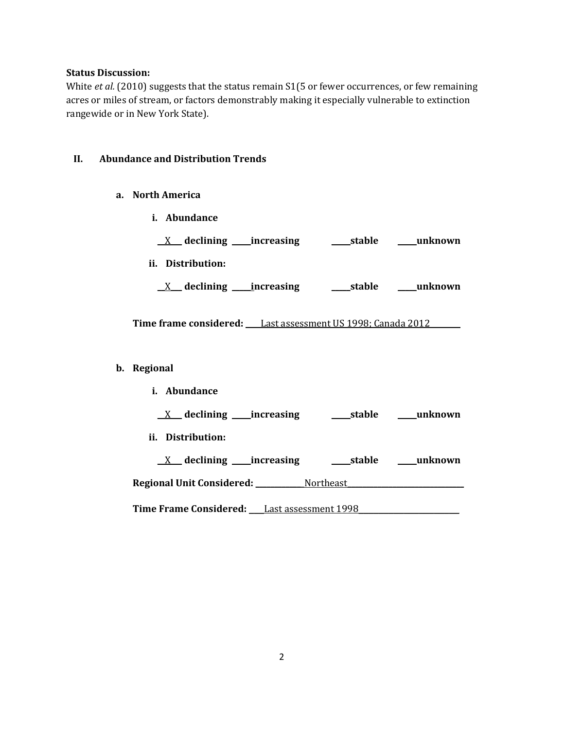#### **Status Discussion:**

White *et al.* (2010) suggests that the status remain S1(5 or fewer occurrences, or few remaining acres or miles of stream, or factors demonstrably making it especially vulnerable to extinction rangewide or in New York State).

#### **II. Abundance and Distribution Trends**

- **a. North America**
	- **i. Abundance**

|                   | declining _____increasing  | stable | unknown |
|-------------------|----------------------------|--------|---------|
| ii. Distribution: |                            |        |         |
|                   | _declining _____increasing | stable | unknown |

**Time frame considered: \_\_\_\_**Last assessment US 1998; Canada 2012**\_\_\_\_\_\_\_\_**

#### **b. Regional**

**i. Abundance \_\_**X**\_\_\_ declining \_\_\_\_\_increasing \_\_\_\_\_stable \_\_\_\_\_unknown ii. Distribution: \_\_**X**\_\_\_ declining \_\_\_\_\_increasing \_\_\_\_\_stable \_\_\_\_\_unknown Regional Unit Considered: \_\_\_\_\_\_\_\_\_\_\_\_**\_Northeast**\_\_\_\_\_\_\_\_\_\_\_\_\_\_\_\_\_\_\_\_\_\_\_\_\_\_\_\_\_\_\_**

Time Frame Considered: Last assessment 1998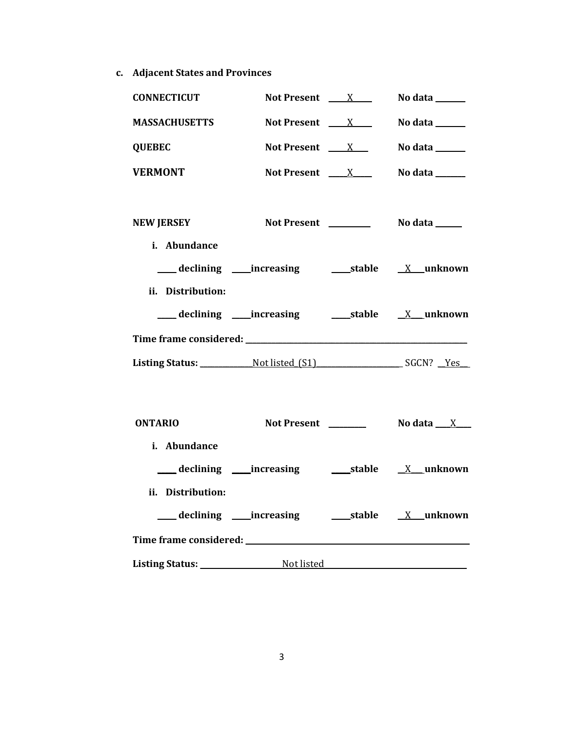**c. Adjacent States and Provinces**

| <b>CONNECTICUT</b>                | Not Present $\frac{X}{X}$                | No data ______ |
|-----------------------------------|------------------------------------------|----------------|
| <b>MASSACHUSETTS</b>              | Not Present $X_{\text{max}}$             | No data ______ |
| <b>QUEBEC</b>                     | Not Present $X_{\text{max}}$             | No data ______ |
| <b>VERMONT</b>                    | Not Present $X_{\text{max}}$             | No data ______ |
| <b>NEW JERSEY</b><br>i. Abundance | Not Present ________                     | No data ______ |
| ii. Distribution:                 |                                          |                |
|                                   |                                          |                |
|                                   |                                          |                |
|                                   |                                          |                |
|                                   |                                          |                |
| <b>ONTARIO</b>                    |                                          |                |
| i. Abundance                      |                                          |                |
|                                   | declining increasing 50 stable X unknown |                |
| ii. Distribution:                 |                                          |                |

| declining              | __increasing | stable | _unknown |  |
|------------------------|--------------|--------|----------|--|
| Time frame considered: |              |        |          |  |
| <b>Listing Status:</b> | Not listed   |        |          |  |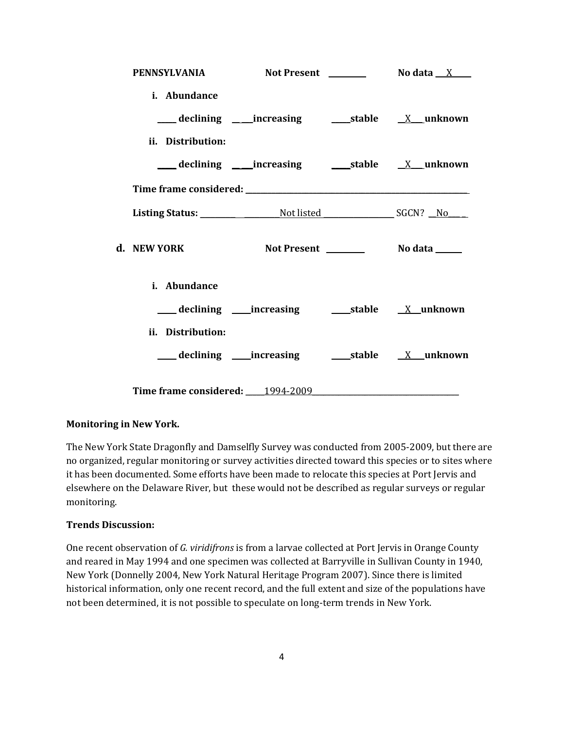| PENNSYLVANIA Not Present No data X |  |  |
|------------------------------------|--|--|
| i. Abundance                       |  |  |
|                                    |  |  |
| ii. Distribution:                  |  |  |
|                                    |  |  |
|                                    |  |  |
|                                    |  |  |
| d. NEW YORK                        |  |  |
| i. Abundance                       |  |  |
|                                    |  |  |
| ii. Distribution:                  |  |  |
|                                    |  |  |
|                                    |  |  |

# **Monitoring in New York.**

The New York State Dragonfly and Damselfly Survey was conducted from 2005-2009, but there are no organized, regular monitoring or survey activities directed toward this species or to sites where it has been documented. Some efforts have been made to relocate this species at Port Jervis and elsewhere on the Delaware River, but these would not be described as regular surveys or regular monitoring.

### **Trends Discussion:**

One recent observation of *G. viridifrons* is from a larvae collected at Port Jervis in Orange County and reared in May 1994 and one specimen was collected at Barryville in Sullivan County in 1940, New York (Donnelly 2004, New York Natural Heritage Program 2007). Since there is limited historical information, only one recent record, and the full extent and size of the populations have not been determined, it is not possible to speculate on long-term trends in New York.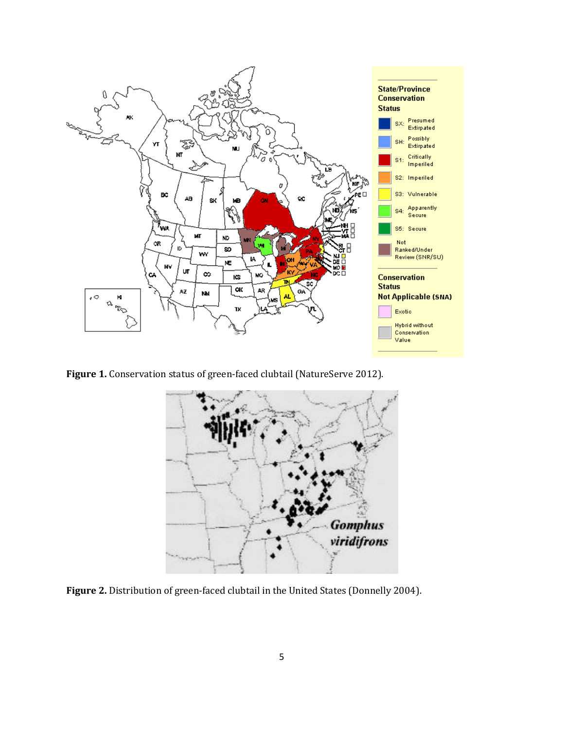

**Figure 1.** Conservation status of green-faced clubtail (NatureServe 2012).



**Figure 2.** Distribution of green-faced clubtail in the United States (Donnelly 2004).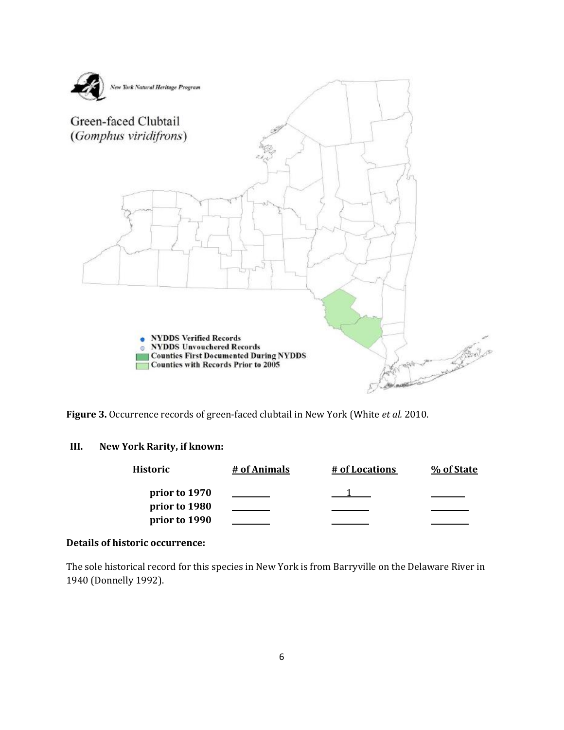

**Figure 3.** Occurrence records of green-faced clubtail in New York (White *et al.* 2010.

### **III. New York Rarity, if known:**

| Historic      | # of Animals | # of Locations | % of State |
|---------------|--------------|----------------|------------|
| prior to 1970 |              |                |            |
| prior to 1980 |              |                |            |
| prior to 1990 |              |                |            |

# **Details of historic occurrence:**

The sole historical record for this species in New York is from Barryville on the Delaware River in 1940 (Donnelly 1992).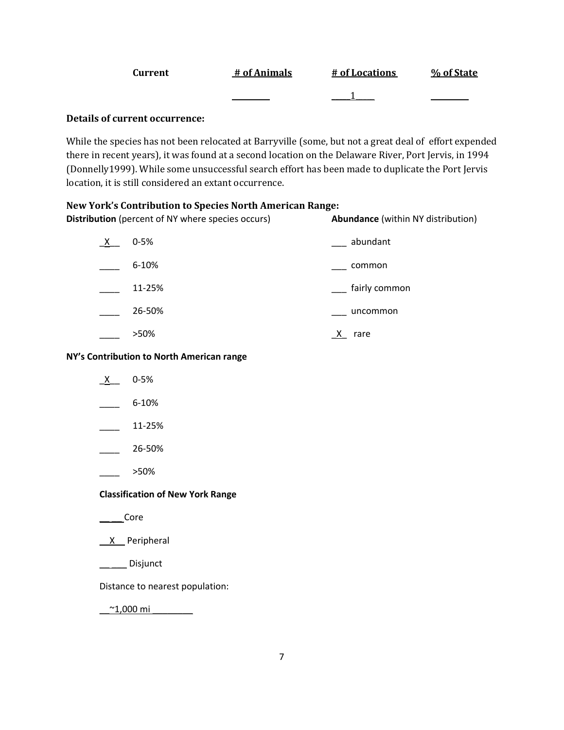| Current | # of Animals | # of Locations | % of State |
|---------|--------------|----------------|------------|
|         |              |                |            |

# **Details of current occurrence:**

While the species has not been relocated at Barryville (some, but not a great deal of effort expended there in recent years), it was found at a second location on the Delaware River, Port Jervis, in 1994 (Donnelly1999). While some unsuccessful search effort has been made to duplicate the Port Jervis location, it is still considered an extant occurrence.

### **New York's Contribution to Species North American Range:**

| <b>Distribution</b> (percent of NY where species occurs) |           | <b>Abundance</b> (within NY distribution) |
|----------------------------------------------------------|-----------|-------------------------------------------|
| $\mathsf{X}$                                             | $0 - 5%$  | abundant                                  |
|                                                          | $6 - 10%$ | common                                    |
|                                                          | 11-25%    | fairly common                             |
|                                                          | 26-50%    | uncommon                                  |
|                                                          | >50%      | rare                                      |

#### **NY's Contribution to North American range**

- $X$  0-5%
- $-$  6-10%
- $\frac{11-25\%}{2}$
- $-26 50%$
- \_\_\_\_ >50%

### **Classification of New York Range**

- $\overline{\phantom{a}}$   $\overline{\phantom{a}}$  Core
- \_\_X\_\_ Peripheral
- \_\_ \_\_\_ Disjunct

Distance to nearest population:

 $^{\sim}$ 1,000 mi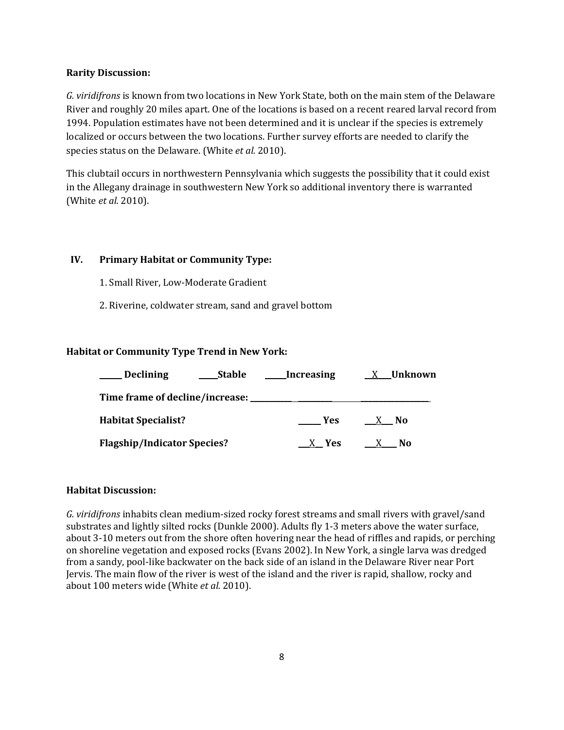#### **Rarity Discussion:**

*G. viridifrons* is known from two locations in New York State, both on the main stem of the Delaware River and roughly 20 miles apart. One of the locations is based on a recent reared larval record from 1994. Population estimates have not been determined and it is unclear if the species is extremely localized or occurs between the two locations. Further survey efforts are needed to clarify the species status on the Delaware. (White *et al.* 2010).

This clubtail occurs in northwestern Pennsylvania which suggests the possibility that it could exist in the Allegany drainage in southwestern New York so additional inventory there is warranted (White *et al.* 2010).

### **IV. Primary Habitat or Community Type:**

- 1. Small River, Low-Moderate Gradient
- 2. Riverine, coldwater stream, sand and gravel bottom

### **Habitat or Community Type Trend in New York:**

| <b>Declining</b>                   | <b>Stable</b> | Increasing | Unknown            |
|------------------------------------|---------------|------------|--------------------|
| Time frame of decline/increase:    |               |            |                    |
| <b>Habitat Specialist?</b>         |               | <b>Yes</b> | X No               |
| <b>Flagship/Indicator Species?</b> |               | X Yes      | N0<br>$\mathbf{X}$ |

### **Habitat Discussion:**

*G. viridifrons* inhabits clean medium-sized rocky forest streams and small rivers with gravel/sand substrates and lightly silted rocks (Dunkle 2000). Adults fly 1-3 meters above the water surface, about 3-10 meters out from the shore often hovering near the head of riffles and rapids, or perching on shoreline vegetation and exposed rocks (Evans 2002). In New York, a single larva was dredged from a sandy, pool-like backwater on the back side of an island in the Delaware River near Port Jervis. The main flow of the river is west of the island and the river is rapid, shallow, rocky and about 100 meters wide (White *et al.* 2010).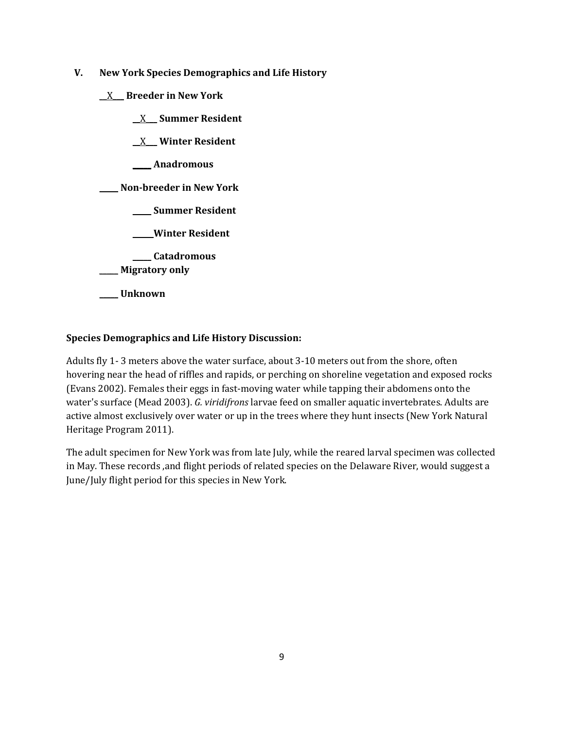- **V. New York Species Demographics and Life History**
	- \_\_X**\_\_\_ Breeder in New York**
		- **\_\_**X\_**\_\_ Summer Resident**

**\_\_**X**\_\_\_ Winter Resident**

**\_\_\_\_\_ Anadromous**

**\_\_\_\_\_ Non-breeder in New York**

**\_\_\_\_\_ Summer Resident**

**\_\_\_\_\_ Winter Resident**

**\_\_\_\_\_ Catadromous**

\_\_\_\_\_ **Migratory only**

**\_\_\_\_\_ Unknown**

# **Species Demographics and Life History Discussion:**

Adults fly 1- 3 meters above the water surface, about 3-10 meters out from the shore, often hovering near the head of riffles and rapids, or perching on shoreline vegetation and exposed rocks (Evans 2002). Females their eggs in fast-moving water while tapping their abdomens onto the water's surface (Mead 2003). *G. viridifrons* larvae feed on smaller aquatic invertebrates. Adults are active almost exclusively over water or up in the trees where they hunt insects (New York Natural Heritage Program 2011).

The adult specimen for New York was from late July, while the reared larval specimen was collected in May. These records ,and flight periods of related species on the Delaware River, would suggest a June/July flight period for this species in New York.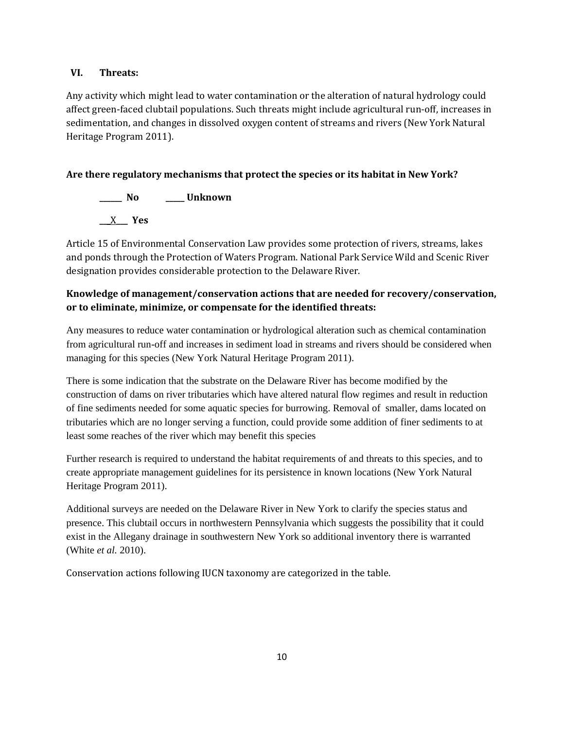## **VI. Threats:**

Any activity which might lead to water contamination or the alteration of natural hydrology could affect green-faced clubtail populations. Such threats might include agricultural run-off, increases in sedimentation, and changes in dissolved oxygen content of streams and rivers (New York Natural Heritage Program 2011).

# **Are there regulatory mechanisms that protect the species or its habitat in New York?**

**\_\_\_\_\_\_ No \_\_\_\_\_ Unknown \_\_\_**X**\_\_\_ Yes** 

Article 15 of Environmental Conservation Law provides some protection of rivers, streams, lakes and ponds through the Protection of Waters Program. National Park Service Wild and Scenic River designation provides considerable protection to the Delaware River.

# **Knowledge of management/conservation actions that are needed for recovery/conservation, or to eliminate, minimize, or compensate for the identified threats:**

Any measures to reduce water contamination or hydrological alteration such as chemical contamination from agricultural run-off and increases in sediment load in streams and rivers should be considered when managing for this species (New York Natural Heritage Program 2011).

There is some indication that the substrate on the Delaware River has become modified by the construction of dams on river tributaries which have altered natural flow regimes and result in reduction of fine sediments needed for some aquatic species for burrowing. Removal of smaller, dams located on tributaries which are no longer serving a function, could provide some addition of finer sediments to at least some reaches of the river which may benefit this species

Further research is required to understand the habitat requirements of and threats to this species, and to create appropriate management guidelines for its persistence in known locations (New York Natural Heritage Program 2011).

Additional surveys are needed on the Delaware River in New York to clarify the species status and presence. This clubtail occurs in northwestern Pennsylvania which suggests the possibility that it could exist in the Allegany drainage in southwestern New York so additional inventory there is warranted (White *et al.* 2010).

Conservation actions following IUCN taxonomy are categorized in the table.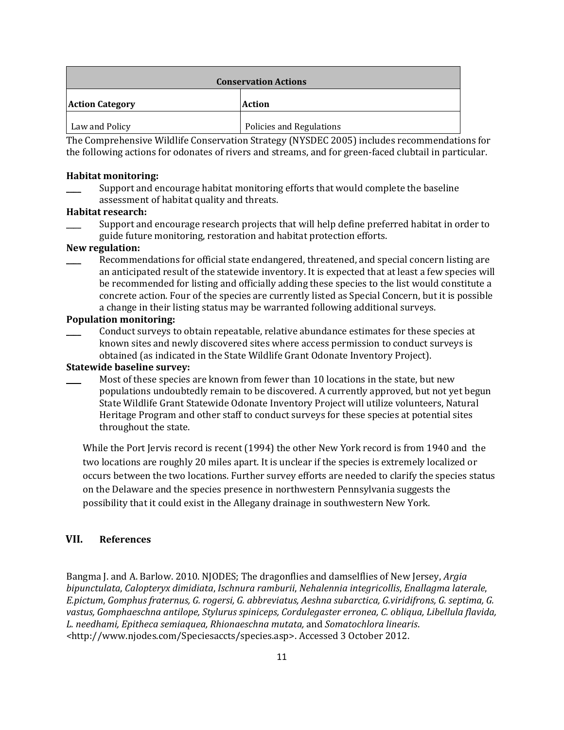| <b>Conservation Actions</b> |                          |  |
|-----------------------------|--------------------------|--|
| <b>Action Category</b>      | <b>Action</b>            |  |
| Law and Policy              | Policies and Regulations |  |

The Comprehensive Wildlife Conservation Strategy (NYSDEC 2005) includes recommendations for the following actions for odonates of rivers and streams, and for green-faced clubtail in particular.

#### **Habitat monitoring:**

Support and encourage habitat monitoring efforts that would complete the baseline assessment of habitat quality and threats.

#### **Habitat research:**

Support and encourage research projects that will help define preferred habitat in order to guide future monitoring, restoration and habitat protection efforts.

#### **New regulation:**

Recommendations for official state endangered, threatened, and special concern listing are an anticipated result of the statewide inventory. It is expected that at least a few species will be recommended for listing and officially adding these species to the list would constitute a concrete action. Four of the species are currently listed as Special Concern, but it is possible a change in their listing status may be warranted following additional surveys.

### **Population monitoring:**

\_\_\_\_ Conduct surveys to obtain repeatable, relative abundance estimates for these species at known sites and newly discovered sites where access permission to conduct surveys is obtained (as indicated in the State Wildlife Grant Odonate Inventory Project).

#### **Statewide baseline survey:**

Most of these species are known from fewer than 10 locations in the state, but new populations undoubtedly remain to be discovered. A currently approved, but not yet begun State Wildlife Grant Statewide Odonate Inventory Project will utilize volunteers, Natural Heritage Program and other staff to conduct surveys for these species at potential sites throughout the state.

While the Port Jervis record is recent (1994) the other New York record is from 1940 and the two locations are roughly 20 miles apart. It is unclear if the species is extremely localized or occurs between the two locations. Further survey efforts are needed to clarify the species status on the Delaware and the species presence in northwestern Pennsylvania suggests the possibility that it could exist in the Allegany drainage in southwestern New York.

# **VII. References**

Bangma J. and A. Barlow. 2010. NJODES; The dragonflies and damselflies of New Jersey, *Argia bipunctulata*, *Calopteryx dimidiata*, *Ischnura ramburii*, *Nehalennia integricollis*, *Enallagma laterale*, *E.pictum*, *Gomphus fraternus, G. rogersi, G. abbreviatus, Aeshna subarctica, G.viridifrons, G. septima, G. vastus, Gomphaeschna antilope, Stylurus spiniceps, Cordulegaster erronea, C. obliqua, Libellula flavida, L. needhami, Epitheca semiaquea, Rhionaeschna mutata,* and *Somatochlora linearis*. *<*http://www.njodes.com/Speciesaccts/species.asp>. Accessed 3 October 2012.